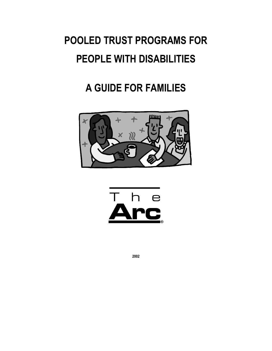# **POOLED TRUST PROGRAMS FOR PEOPLE WITH DISABILITIES**

## **A GUIDE FOR FAMILIES**



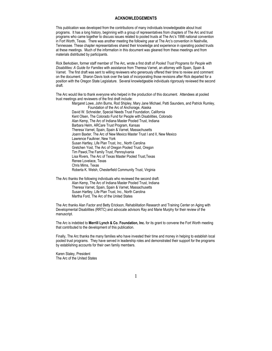#### **ACKNOWLEDGEMENTS**

This publication was developed from the contributions of many individuals knowledgeable about trust programs. It has a long history, beginning with a group of representatives from chapters of The Arc and trust programs who came together to discuss issues related to pooled trusts at The Arcís 1998 national convention in Fort Worth, Texas. There was another meeting the following year at The Arcís convention in Nashville, Tennessee. These chapter representatives shared their knowledge and experience in operating pooled trusts at these meetings. Much of the information in this document was gleaned from these meetings and from materials distributed by participants.

Rick Berkobien, former staff member of The Arc, wrote a first draft of *Pooled Trust Programs for People with Disabilities: A Guide for Families* with assistance from Theresa Varnet, an attorney with Spain, Spain & Varnet. The first draft was sent to willing reviewers who generously offered their time to review and comment on the document. Sharon Davis took over the task of incorporating those revisions after Rick departed for a position with the Oregon State Legislature. Several knowledgeable individuals rigorously reviewed the second draft.

The Arc would like to thank everyone who helped in the production of this document. Attendees at pooled trust meetings and reviewers of the first draft include:

Margaret Lowe, John Burns, Rod Shipley, Mary Jane Michael, Patti Saunders, and Patrick Rumley, Foundation of the Arc of Anchorage, Alaska David W. Schneider, Special Needs Trust Foundation, California Kent Olsen, The Colorado Fund for People with Disabilities, Colorado Alan Kemp, The Arc of Indiana Master Pooled Trust, Indiana Barbara Helm, ARCare Trust Program, Kansas Theresa Varnet, Spain, Spain & Varnet, Massachusetts Joann Baxter, The Arc of New Mexico Master Trust I and II, New Mexico Lawrence Faulkner, New York Susan Hartley, Life Plan Trust, Inc., North Carolina Gretchen Yost, The Arc of Oregon Pooled Trust, Oregon Tim Pawol,The Family Trust, Pennsylvania Lisa Rivers, The Arc of Texas Master Pooled Trust,Texas Renee Lovelace, Texas Chris Mims, Texas Roberta K. Welsh, Chesterfield Community Trust, Virginia

The Arc thanks the following individuals who reviewed the second draft: Alan Kemp, The Arc of Indiana Master Pooled Trust, Indiana Theresa Varnet, Spain, Spain & Varnet, Massachusetts Susan Hartley, Life Plan Trust, Inc., North Carolina Martha Ford, The Arc of the United States

The Arc thanks Alan Factor and Betty Erickson, Rehabilitation Research and Training Center on Aging with Developmental Disabilities (RRTC) and advocate advisors Ray and Marie Murphy for their review of the manuscript.

The Arc is indebted to **Merrill Lynch & Co. Foundation, Inc.** for its grant to convene the Fort Worth meeting that contributed to the development of this publication.

Finally, The Arc thanks the many families who have invested their time and money in helping to establish local pooled trust programs. They have served in leadership roles and demonstrated their support for the programs by establishing accounts for their own family members.

Karen Staley, President The Arc of the United States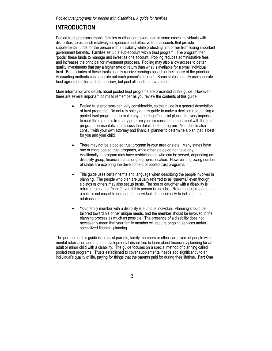## **INTRODUCTION**

Pooled trust programs enable families or other caregivers, and in some cases individuals with disabilities, to establish relatively inexpensive and effective trust accounts that provide supplemental funds for the person with a disability while protecting him or her from losing important government benefits. Families set up a sub-account with a trust program. The program then "pools" these funds to manage and invest as one account. Pooling reduces administrative fees and increases the principal for investment purposes. Pooling may also allow access to better quality investments that pay a higher rate of return than what is available for a small individual trust. Beneficiaries of these trusts usually receive earnings based on their share of the principal. Accounting methods can separate out each person's account. Some states actually use separate trust agreements for each beneficiary, but pool all funds for investment.

More information and details about pooled trust programs are presented in this guide. However, there are several important points to remember as you review the contents of this guide:

- Pooled trust programs can vary considerably, so this guide is a general description of trust programs. Do not rely solely on this guide to make a decision about using a pooled trust program or to make any other legal/financial plans. It is very important to read the materials from any program you are considering and meet with the trust program representative to discuss the details of the program. You should also consult with your own attorney and financial planner to determine a plan that is best for you and your child.
- There may not be a pooled trust program in your area or state. Many states have one or more pooled trust programs, while other states do not have any. Additionally, a program may have restrictions on who can be served, depending on disability group, financial status or geographic location. However, a growing number of states are exploring the development of pooled trust programs.
- This guide uses certain terms and language when describing the people involved in planning. The people who plan are usually referred to as "parents," even though siblings or others may also set up trusts. The son or daughter with a disability is referred to as their "child," even if this person is an adult. Referring to this person as a child is not meant to demean the individual. It is used only to indicate the relationship.
- Your family member with a disability is a unique individual. Planning should be tailored toward his or her unique needs, and the member should be involved in the planning process as much as possible. The presence of a disability does not necessarily mean that your family member will require ongoing services and/or specialized financial planning.

The purpose of this guide is to assist parents, family members or other caregivers of people with mental retardation and related developmental disabilities to learn about financially planning for an adult or minor child with a disability. The guide focuses on a special method of planning called pooled trust programs. Trusts established to cover supplemental needs add significantly to an individualís quality of life, paying for things that the parents paid for during their lifetime. **Part One**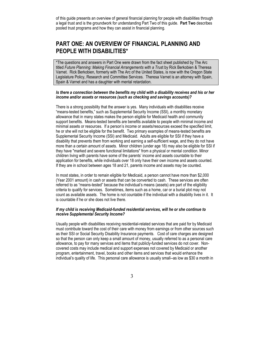of this guide presents an overview of general financial planning for people with disabilities through a legal trust and is the groundwork for understanding Part Two of this guide. **Part Two** describes pooled trust programs and how they can assist in financial planning.

### **PART ONE: AN OVERVIEW OF FINANCIAL PLANNING AND PEOPLE WITH DISABILITIES\***

\*The questions and answers in Part One were drawn from the fact sheet published by The Arc titled *Future Planning: Making Financial Arrangements with a Trus*t by Rick Berkobien & Theresa Varnet. Rick Berkobien, formerly with The Arc of the United States, is now with the Oregon State Legislature Policy, Research and Committee Services. Theresa Varnet is an attorney with Spain, Spain & Varnet and has a daughter with mental retardation.

#### *Is there a connection between the benefits my child with a disability receives and his or her income and/or assets or resources (such as checking and savings accounts)?*

There is a strong possibility that the answer is yes. Many individuals with disabilities receive "means-tested benefits," such as Supplemental Security Income (SSI), a monthly monetary allowance that in many states makes the person eligible for Medicaid health and community support benefits. Means-tested benefits are benefits available to people with minimal income and minimal assets or resources. If a person's income or assets/resources exceed the specified limit, he or she will not be eligible for the benefit. Two primary examples of means-tested benefits are Supplemental Security Income (SSI) and Medicaid. Adults are eligible for SSI if they have a disability that prevents them from working and earning a self-sufficient wage, and they do not have more than a certain amount of assets. Minor children (under age 18) may also be eligible for SSI if they have "marked and severe functional limitations" from a physical or mental condition. Minor children living with parents have some of the parentsí income and assets countable to their application for benefits, while individuals over 18 only have their own income and assets counted. If they are in school between ages 18 and 21, parents income and assets may be counted.

In most states, in order to remain eligible for Medicaid, a person cannot have more than \$2,000 (Year 2001 amount) in cash or assets that can be converted to cash. These services are often referred to as "means-tested" because the individual's means (assets) are part of the eligibility criteria to qualify for services. Sometimes, items such as a home, car or a burial plot may not count as available assets. The home is not countable if the individual with a disability lives in it. It is countable if he or she does not live there.

#### *If my child is receiving Medicaid-funded residential services, will he or she continue to receive Supplemental Security Income?*

Usually people with disabilities receiving residential-related services that are paid for by Medicaid must contribute toward the cost of their care with money from earnings or from other sources such as their SSI or Social Security Disability Insurance payments. Cost of care charges are designed so that the person can only keep a small amount of money, usually referred to as a personal care allowance, to pay for many services and items that publicly-funded services do not cover. Noncovered costs may include medical and support expenses not covered by Medicaid or another program, entertainment, travel, books and other items and services that would enhance the individualís quality of life. This personal care allowance is usually small--as low as \$30 a month in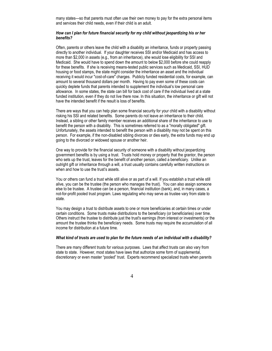many states—so that parents must often use their own money to pay for the extra personal items and services their child needs, even if their child is an adult.

#### *How can I plan for future financial security for my child without jeopardizing his or her benefits?*

Often, parents or others leave the child with a disability an inheritance, funds or property passing directly to another individual. If your daughter receives SSI and/or Medicaid and has access to more than \$2,000 in assets (e.g., from an inheritance), she would lose eligibility for SSI and Medicaid. She would have to spend down the amount to below \$2,000 before she could reapply for these benefits. If she is receiving means-tested public services such as Medicaid, SSI, HUD housing or food stamps, the state might consider the inheritance an asset and the individual receiving it would incur "cost-of-care" charges. Publicly funded residential costs, for example, can amount to several thousand dollars per month. Having to pay even some of these costs can quickly deplete funds that parents intended to supplement the individualís low personal care allowance. In some states, the state can bill for back cost of care if the individual lived at a state funded institution, even if they do not live there now. In this situation, the inheritance or gift will not have the intended benefit if the result is loss of benefits.

There are ways that you can help plan some financial security for your child with a disability without risking his SSI and related benefits. Some parents do not leave an inheritance to their child. Instead, a sibling or other family member receives an additional share of the inheritance to use to benefit the person with a disability. This is sometimes referred to as a "morally obligated" gift. Unfortunately, the assets intended to benefit the person with a disability may not be spent on this person. For example, if the non-disabled sibling divorces or dies early, the extra funds may end up going to the divorced or widowed spouse or another heir.

One way to provide for the financial security of someone with a disability without jeopardizing government benefits is by using a trust. Trusts hold money or property that the grantor, the person who sets up the trust, leaves for the benefit of another person, called a beneficiary. Unlike an outright gift or inheritance through a will, a trust usually contains carefully written instructions on when and how to use the trust's assets.

You or others can fund a trust while still alive or as part of a will. If you establish a trust while still alive, you can be the trustee (the person who manages the trust). You can also assign someone else to be trustee. A trustee can be a person, financial institution (bank), and, in many cases, a not-for-profit pooled trust program. Laws regulating who may serve as trustee vary from state to state.

You may design a trust to distribute assets to one or more beneficiaries at certain times or under certain conditions. Some trusts make distributions to the beneficiary (or beneficiaries) over time. Others instruct the trustee to distribute just the trust's earnings (from interest or investments) or the amount the trustee thinks the beneficiary needs. Some trusts may require the accumulation of all income for distribution at a future time.

#### *What kind of trusts are used to plan for the future needs of an individual with a disability?*

There are many different trusts for various purposes. Laws that affect trusts can also vary from state to state. However, most states have laws that authorize some form of supplemental, discretionary or even master "pooled" trust. Experts recommend specialized trusts when parents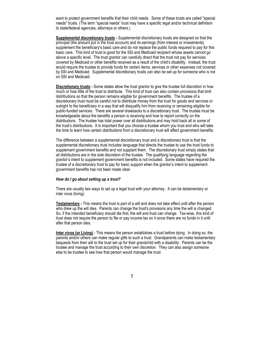want to protect government benefits that their child needs. Some of these trusts are called "special needs" trusts. (The term "special needs" trust may have a specific legal and/or technical definition to state/federal agencies, attorneys or others.)

**Supplemental discretionary trusts -** Supplemental discretionary trusts are designed so that the principal (the amount put in the trust account) and its earnings (from interest or investments) supplement the beneficiary's basic care and do not replace the public funds required to pay for this basic care. This kind of trust is good for the SSI and Medicaid recipient whose assets cannot go above a specific level. The trust grantor can carefully direct that the trust not pay for services covered by Medicaid or other benefits received as a result of the childís disability. Instead, the trust would require the trustee to provide funds for certain items, services or other expenses not covered by SSI and Medicaid. Supplemental discretionary trusts can also be set up for someone who is not on SSI and Medicaid.

**Discretionary trusts -** Some states allow the trust grantor to give the trustee full discretion in how much or how little of the trust to distribute. This kind of trust can also contain provisions that limit distributions so that the person remains eligible for government benefits. The trustee of a discretionary trust must be careful not to distribute money from the trust for goods and services or outright to the beneficiary in a way that will disqualify him from receiving or remaining eligible for public-funded services. There are several drawbacks to a discretionary trust. The trustee must be knowledgeable about the benefits a person is receiving and how to report correctly on the distributions. The trustee has total power over all distributions and may hold back all or some of the trustís distributions. It is important that you choose a trustee whom you trust and who will take the time to learn how certain distributions from a discretionary trust will affect government benefits.

The difference between a supplemental discretionary trust and a discretionary trust is that the supplemental discretionary trust includes language that directs the trustee to use the trust funds to supplement government benefits and not supplant them. The discretionary trust simply states that all distributions are in the sole discretion of the trustee. The qualifying language regarding the grantorís intent to supplement government benefits is not included. Some states have required the trustee of a discretionary trust to pay for basic support when the grantor's intent to supplement government benefits has not been made clear.

#### *How do I go about setting up a trust?*

There are usually two ways to set up a legal trust with your attorney. It can be testamentary or inter vivos (living).

**Testamentary -** This means the trust is part of a will and does not take effect until after the person who drew up the will dies. Parents can change the trust's provisions any time the will is changed. So, if the intended beneficiary should die first, the will and trust can change. Tax-wise, this kind of trust does not require the person to file or pay income tax on it since there are no funds in it until after that person dies.

**Inter vivos (or Living)** - This means the person establishes a trust before dying. In doing so, the parents and/or others can make regular gifts to such a trust. Grandparents can make testamentary bequests from their will to the trust set up for their grandchild with a disability. Parents can be the trustee and manage the trust according to their own discretion. They can also assign someone else to be trustee to see how that person would manage the trust.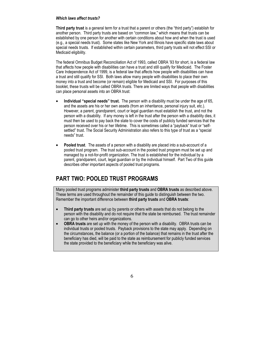#### *Which laws affect trusts?*

**Third party trust** is a general term for a trust that a parent or others (the "third party") establish for another person. Third party trusts are based on "common law," which means that trusts can be established by one person for another with certain conditions about how and when the trust is used (e.g., a special needs trust). Some states like New York and Illinois have specific state laws about special needs trusts. If established within certain parameters, third party trusts will not effect SSI or Medicaid eligibility.

The federal Omnibus Budget Reconciliation Act of 1993, called OBRA í93 for short, is a federal law that affects how people with disabilities can have a trust and still qualify for Medicaid. The Foster Care Independence Act of 1999, is a federal law that affects how people with disabilities can have a trust and still qualify for SSI. Both laws allow many people with disabilities to place their own money into a trust and become (or remain) eligible for Medicaid and SSI. For purposes of this booklet, these trusts will be called OBRA trusts. There are limited ways that people with disabilities can place personal assets into an OBRA trust:

- Individual "special needs" trust. The person with a disability must be under the age of 65, and the assets are his or her own assets (from an inheritance, personal injury suit, etc.). However, a parent, grandparent, court or legal guardian must establish the trust, and not the person with a disability. If any money is left in the trust after the person with a disability dies, it must then be used to pay back the state to cover the costs of publicly funded services that the person received over his or her lifetime. This is sometimes called a "payback" trust or "selfsettled" trust. The Social Security Administration also refers to this type of trust as a "special needs" trust.
- **Pooled trust**. The assets of a person with a disability are placed into a sub-account of a pooled trust program. The trust sub-account in the pooled trust program must be set up and managed by a not-for-profit organization. The trust is established for the individual by a parent, grandparent, court, legal guardian or by the individual himself. Part Two of this guide describes other important aspects of pooled trust programs.

## **PART TWO: POOLED TRUST PROGRAMS**

Many pooled trust programs administer **third party trusts** and **OBRA trusts** as described above. These terms are used throughout the remainder of this guide to distinguish between the two. Remember the important difference between **third party trusts** and **OBRA trusts**:

- **Third party trusts** are set up by parents or others with assets that do not belong to the person with the disability and do not require that the state be reimbursed. The trust remainder can go to other heirs and/or organizations.
- **OBRA trusts** are set up with the money of the person with a disability. OBRA trusts can be individual trusts or pooled trusts. Payback provisions to the state may apply. Depending on the circumstances, the balance (or a portion of the balance) that remains in the trust after the beneficiary has died, will be paid to the state as reimbursement for publicly funded services the state provided to the beneficiary while the beneficiary was alive.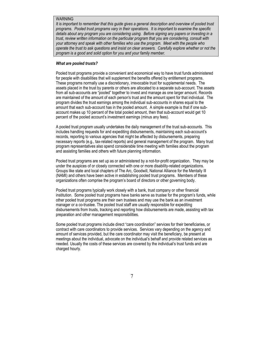#### **WARNING**

*It is important to remember that this guide gives a general description and overview of pooled trust programs. Pooled trust programs vary in their operations. It is important to examine the specific details about any program you are considering using. Before signing any papers or investing in a trust, review written information on the particular program that you are considering, consult with your attorney and speak with other families who use the program. Meet with the people who operate the trust to ask questions and insist on clear answers. Carefully explore whether or not the program is a good and solid option for you and your family member.* 

#### *What are pooled trusts?*

Pooled trust programs provide a convenient and economical way to have trust funds administered for people with disabilities that will supplement the benefits offered by entitlement programs. These programs normally use a discretionary, irrevocable trust for supplemental needs. The assets placed in the trust by parents or others are allocated to a separate sub-account. The assets from all sub-accounts are "pooled" together to invest and manage as one larger amount. Records are maintained of the amount of each person's trust and the amount spent for that individual. The program divides the trust earnings among the individual sub-accounts in shares equal to the amount that each sub-account has in the pooled amount. A simple example is that if one subaccount makes up 10 percent of the total pooled amount, then that sub-account would get 10 percent of the pooled account's investment earnings (minus any fees).

A pooled trust program usually undertakes the daily management of the trust sub-accounts. This includes handling requests for and expediting disbursements, maintaining each sub-accountís records, reporting to various agencies that might be affected by disbursements, preparing necessary reports (e.g., tax-related reports) and general management of the program. Many trust program representatives also spend considerable time meeting with families about the program and assisting families and others with future planning information.

Pooled trust programs are set up as or administered by a not-for-profit organization. They may be under the auspices of or closely connected with one or more disability-related organizations. Groups like state and local chapters of The Arc, Goodwill, National Alliance for the Mentally Ill (NAMI) and others have been active in establishing pooled trust programs. Members of these organizations often comprise the program's board of directors or other governing body.

Pooled trust programs typically work closely with a bank, trust company or other financial institution. Some pooled trust programs have banks serve as trustee for the program's funds, while other pooled trust programs are their own trustees and may use the bank as an investment manager or a co-trustee. The pooled trust staff are usually responsible for expediting disbursements from trusts, tracking and reporting how disbursements are made, assisting with tax preparation and other management responsibilities.

Some pooled trust programs include direct "care coordination" services for their beneficiaries, or contract with care coordinators to provide services. Services vary depending on the agency and amount of services provided, but the care coordinator may visit the beneficiary, be present at meetings about the individual, advocate on the individual's behalf and provide related services as needed. Usually the costs of these services are covered by the individual's trust funds and are charged hourly.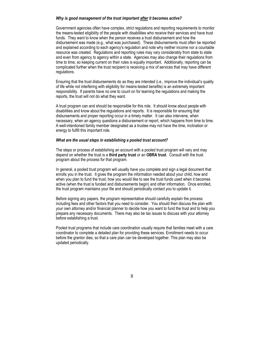#### *Why is good management of the trust important after it becomes active?*

Government agencies often have complex, strict regulations and reporting requirements to monitor the means-tested eligibility of the people with disabilities who receive their services and have trust funds. They want to know when the person receives a trust disbursement and how the disbursement was made (e.g., what was purchased). These disbursements must often be reported and explained according to each agency's regulation and note why neither income nor a countable resource was created. Regulations and reporting rules may vary considerably from state to state and even from agency to agency within a state. Agencies may also change their regulations from time to time, so keeping current on their rules is equally important. Additionally, reporting can be complicated further when the trust recipient is receiving a mix of services that may have different regulations.

Ensuring that the trust disbursements do as they are intended (i.e., improve the individualís quality of life while not interfering with eligibility for means-tested benefits) is an extremely important responsibility. If parents have no one to count on for learning the regulations and making the reports, the trust will not do what they want.

A trust program can and should be responsible for this role. It should know about people with disabilities and know about the regulations and reports. It is responsible for ensuring that disbursements and proper reporting occur in a timely matter. It can also intervene, when necessary, when an agency questions a disbursement or report, which happens from time to time. A well-intentioned family member designated as a trustee may not have the time, inclination or energy to fulfill this important role.

#### *What are the usual steps in establishing a pooled trust account?*

The steps or process of establishing an account with a pooled trust program will vary and may depend on whether the trust is a **third party trust** or an **OBRA trust**. Consult with the trust program about the process for that program.

In general, a pooled trust program will usually have you complete and sign a legal document that enrolls you in the trust. It gives the program the information needed about your child, how and when you plan to fund the trust, how you would like to see the trust funds used when it becomes active (when the trust is funded and disbursements begin) and other information. Once enrolled, the trust program maintains your file and should periodically contact you to update it.

Before signing any papers, the program representative should carefully explain the process including fees and other factors that you need to consider. You should then discuss the plan with your own attorney and/or financial planner to decide how you want to fund the trust and to help you prepare any necessary documents. There may also be tax issues to discuss with your attorney before establishing a trust.

Pooled trust programs that include care coordination usually require that families meet with a care coordinator to complete a detailed plan for providing these services. Enrollment needs to occur before the grantor dies, so that a care plan can be developed together. This plan may also be updated periodically.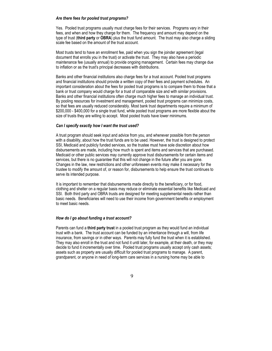#### *Are there fees for pooled trust programs?*

Yes. Pooled trust programs usually must charge fees for their services. Programs vary in their fees, and when and how they charge for them. The frequency and amount may depend on the type of trust (**third party** or **OBRA**) plus the trust fund amount. The trust may also charge a sliding scale fee based on the amount of the trust account.

Most trusts tend to have an enrollment fee, paid when you sign the joinder agreement (legal document that enrolls you in the trust) or activate the trust. They may also have a periodic maintenance fee (usually annual) to provide ongoing management. Certain fees may change due to inflation or as the trust's principal decreases with distributions.

Banks and other financial institutions also charge fees for a trust account. Pooled trust programs and financial institutions should provide a written copy of their fees and payment schedules. An important consideration about the fees for pooled trust programs is to compare them to those that a bank or trust company would charge for a trust of comparable size and with similar provisions. Banks and other financial institutions often charge much higher fees to manage an individual trust. By pooling resources for investment and management, pooled trust programs can minimize costs, so that fees are usually reduced considerably. Most bank trust departments require a minimum of \$200,000 - \$400,000 for a single trust fund, while pooled trust programs are more flexible about the size of trusts they are willing to accept. Most pooled trusts have lower minimums.

#### *Can I specify exactly how I want the trust used?*

A trust program should seek input and advice from you, and whenever possible from the person with a disability, about how the trust funds are to be used. However, the trust is designed to protect SSI, Medicaid and publicly funded services, so the trustee must have sole discretion about how disbursements are made, including how much is spent and items and services that are purchased. Medicaid or other public services may currently approve trust disbursements for certain items and services, but there is no guarantee that this will not change in the future after you are gone. Changes in the law, new restrictions and other unforeseen events may make it necessary for the trustee to modify the amount of, or reason for, disbursements to help ensure the trust continues to serve its intended purpose.

It is important to remember that disbursements made directly to the beneficiary, or for food, clothing and shelter on a regular basis may reduce or eliminate essential benefits like Medicaid and SSI. Both third party and OBRA trusts are designed for meeting supplemental needs rather than basic needs. Beneficiaries will need to use their income from government benefits or employment to meet basic needs.

#### *How do I go about funding a trust account?*

Parents can fund a **third party trust** in a pooled trust program as they would fund an individual trust with a bank. The trust account can be funded by an inheritance through a will, from life insurance, from savings or in other ways. Parents may fully fund the trust when it is established. They may also enroll in the trust and not fund it until later, for example, at their death, or they may decide to fund it incrementally over time. Pooled trust programs usually accept only cash assets; assets such as property are usually difficult for pooled trust programs to manage. A parent, grandparent, or anyone in need of long-term care services in a nursing home may be able to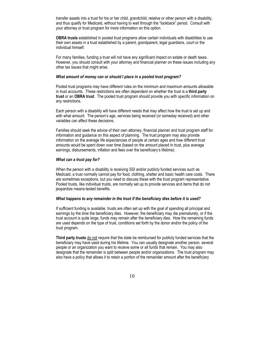transfer assets into a trust for his or her child, grandchild, relative or other person with a disability, and thus qualify for Medicaid, without having to wait through the "lookback" period. Consult with your attorney or trust program for more information on this option.

**OBRA trusts** established in pooled trust programs allow certain individuals with disabilities to use their own assets in a trust established by a parent, grandparent, legal guardians, court or the individual himself.

For many families, funding a trust will not have any significant impact on estate or death taxes. However, you should consult with your attorney and financial planner on these issues including any other tax issues that might arise.

#### *What amount of money can or should I place in a pooled trust program?*

Pooled trust programs may have different rules on the minimum and maximum amounts allowable in trust accounts. These restrictions are often dependent on whether the trust is a **third party trust** or an **OBRA trust**. The pooled trust program should provide you with specific information on any restrictions.

Each person with a disability will have different needs that may affect how the trust is set up and with what amount. The person's age, services being received (or someday received) and other variables can affect these decisions.

Families should seek the advice of their own attorney, financial planner and trust program staff for information and guidance on this aspect of planning. The trust program may also provide information on the average life expectancies of people at certain ages and how different trust amounts would be spent down over time (based on the amount placed in trust, plus average earnings, disbursements, inflation and fees over the beneficiary's lifetime).

#### *What can a trust pay for?*

When the person with a disability is receiving SSI and/or publicly funded services such as Medicaid, a trust normally cannot pay for food, clothing, shelter and basic health care costs. There are sometimes exceptions, but you need to discuss these with the trust program representative. Pooled trusts, like individual trusts, are normally set up to provide services and items that do not jeopardize means-tested benefits.

#### *What happens to any remainder in the trust if the beneficiary dies before it is used?*

If sufficient funding is available, trusts are often set up with the goal of spending all principal and earnings by the time the beneficiary dies. However, the beneficiary may die prematurely, or if the trust account is quite large, funds may remain after the beneficiary dies. How the remaining funds are used depends on the type of trust, conditions set forth by the donor and/or the policy of the trust program.

**Third party trusts** do not require that the state be reimbursed for publicly funded services that the beneficiary may have used during his lifetime. You can usually designate another person, several people or an organization you want to receive some or all funds that remain. You may also designate that the remainder is split between people and/or organizations. The trust program may also have a policy that allows it to retain a portion of the remainder amount after the beneficiary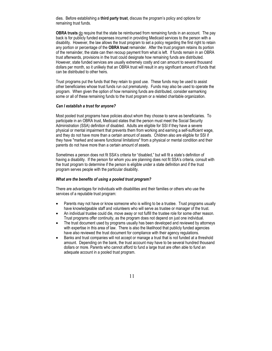dies. Before establishing a **third party trust**, discuss the programís policy and options for remaining trust funds.

**OBRA trusts** do require that the state be reimbursed from remaining funds in an account. The pay back is for publicly funded expenses incurred in providing Medicaid services to the person with a disability. However, the law allows the trust program to set a policy regarding the first right to retain any portion or percentage of the **OBRA trust** remainder. After the trust program retains its portion of the remainder, the state can then recoup payment from what is left. If funds remain in an OBRA trust afterwards, provisions in the trust could designate how remaining funds are distributed. However, state funded services are usually extremely costly and can amount to several thousand dollars per month, so it unlikely that an OBRA trust will result in any significant amount of funds that can be distributed to other heirs.

Trust programs put the funds that they retain to good use. These funds may be used to assist other beneficiaries whose trust funds run out prematurely. Funds may also be used to operate the program. When given the option of how remaining funds are distributed, consider earmarking some or all of these remaining funds to the trust program or a related charitable organization.

#### *Can I establish a trust for anyone?*

Most pooled trust programs have policies about whom they choose to serve as beneficiaries. To participate in an OBRA trust, Medicaid states that the person must meet the Social Security Administration (SSA) definition of disabled. Adults are eligible for SSI if they have a severe physical or mental impairment that prevents them from working and earning a self-sufficient wage, and they do not have more than a certain amount of assets. Children also are eligible for SSI if they have "marked and severe functional limitations" from a physical or mental condition and their parents do not have more than a certain amount of assets.

Sometimes a person does not fit SSA's criteria for "disabled," but will fit a state's definition of having a disability. If the person for whom you are planning does not fit SSA's criteria, consult with the trust program to determine if the person is eligible under a state definition and if the trust program serves people with the particular disability.

#### *What are the benefits of using a pooled trust program?*

There are advantages for individuals with disabilities and their families or others who use the services of a reputable trust program:

- Parents may not have or know someone who is willing to be a trustee. Trust programs usually have knowledgeable staff and volunteers who will serve as trustee or manager of the trust.
- An individual trustee could die, move away or not fulfill the trustee role for some other reason. Trust programs offer continuity, as the program does not depend on just one individual.
- The trust document used by programs usually has been developed and reviewed by attorneys with expertise in this area of law. There is also the likelihood that publicly funded agencies have also reviewed the trust document for compliance with their agency regulations.
- Banks and trust companies will not accept or manage a trust that is not funded at a threshold amount. Depending on the bank, the trust account may have to be several hundred thousand dollars or more. Parents who cannot afford to fund a large trust are often able to fund an adequate account in a pooled trust program.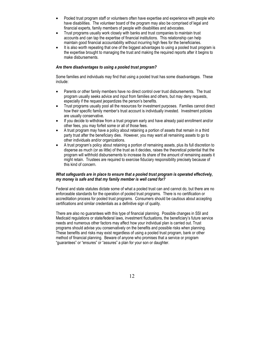- Pooled trust program staff or volunteers often have expertise and experience with people who have disabilities. The volunteer board of the program may also be comprised of legal and financial experts, family members of people with disabilities and advocates.
- Trust programs usually work closely with banks and trust companies to maintain trust accounts and can tap the expertise of financial institutions. This relationship can help maintain good financial accountability without incurring high fees for the beneficiaries.
- It is also worth repeating that one of the biggest advantages to using a pooled trust program is the expertise brought to managing the trust and making the required reports after it begins to make disbursements.

#### *Are there disadvantages to using a pooled trust program?*

Some families and individuals may find that using a pooled trust has some disadvantages. These include:

- Parents or other family members have no direct control over trust disbursements. The trust program usually seeks advice and input from families and others, but may deny requests, especially if the request jeopardizes the person's benefits.
- Trust programs usually pool all the resources for investment purposes. Families cannot direct how their specific family memberís trust account is individually invested. Investment policies are usually conservative.
- If you decide to withdraw from a trust program early and have already paid enrollment and/or other fees, you may forfeit some or all of those fees.
- A trust program may have a policy about retaining a portion of assets that remain in a third party trust after the beneficiary dies. However, you may want all remaining assets to go to other individuals and/or organizations.
- A trust programís policy about retaining a portion of remaining assets, plus its full discretion to disperse as much (or as little) of the trust as it decides, raises the theoretical potential that the program will withhold disbursements to increase its share of the amount of remaining assets it might retain. Trustees are required to exercise fiduciary responsibility precisely because of this kind of concern.

#### *What safeguards are in place to ensure that a pooled trust program is operated effectively, my money is safe and that my family member is well cared for?*

Federal and state statutes dictate some of what a pooled trust can and cannot do, but there are no enforceable standards for the operation of pooled trust programs. There is no certification or accreditation process for pooled trust programs. Consumers should be cautious about accepting certifications and similar credentials as a definitive sign of quality.

There are also no guarantees with this type of financial planning. Possible changes in SSI and Medicaid regulations or state/federal laws, investment fluctuations, the beneficiary's future service needs and numerous other factors may affect how your individual plan is carried out. Trust programs should advise you conservatively on the benefits and possible risks when planning. These benefits and risks may exist regardless of using a pooled trust program, bank or other method of financial planning. Beware of anyone who promises that a service or program "quarantees" or "ensures" or "assures" a plan for your son or daughter.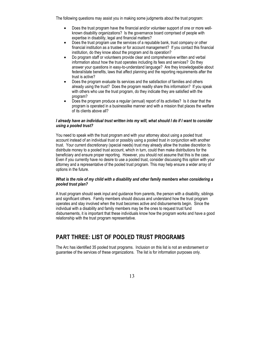The following questions may assist you in making some judgments about the trust program:

- Does the trust program have the financial and/or volunteer support of one or more wellknown disability organizations? Is the governance board comprised of people with expertise in disability, legal and financial matters?
- Does the trust program use the services of a reputable bank, trust company or other financial institution as a trustee or for account management? If you contact this financial institution, do they know about the program and its operation?
- Do program staff or volunteers provide clear and comprehensive written and verbal information about how the trust operates including its fees and services? Do they answer your questions in easy-to-understand language? Are they knowledgeable about federal/state benefits, laws that affect planning and the reporting requirements after the trust is active?
- Does the program evaluate its services and the satisfaction of families and others already using the trust? Does the program readily share this information? If you speak with others who use the trust program, do they indicate they are satisfied with the program?
- Does the program produce a regular (annual) report of its activities? Is it clear that the program is operated in a businesslike manner and with a mission that places the welfare of its clients above all?

#### *I already have an individual trust written into my will, what should I do if I want to consider using a pooled trust?*

You need to speak with the trust program and with your attorney about using a pooled trust account instead of an individual trust or possibly using a pooled trust in conjunction with another trust. Your current discretionary (special needs) trust may already allow the trustee discretion to distribute money to a pooled trust account, which in turn, could then make distributions for the beneficiary and ensure proper reporting. However, you should not assume that this is the case. Even if you currently have no desire to use a pooled trust, consider discussing this option with your attorney and a representative of the pooled trust program. This may help ensure a wider array of options in the future.

#### *What is the role of my child with a disability and other family members when considering a pooled trust plan?*

A trust program should seek input and guidance from parents, the person with a disability, siblings and significant others. Family members should discuss and understand how the trust program operates and stay involved when the trust becomes active and disbursements begin. Since the individual with a disability and family members may be the ones to request trust fund disbursements, it is important that these individuals know how the program works and have a good relationship with the trust program representative.

## **PART THREE: LIST OF POOLED TRUST PROGRAMS**

The Arc has identified 35 pooled trust programs. Inclusion on this list is not an endorsement or guarantee of the services of these organizations. The list is for information purposes only.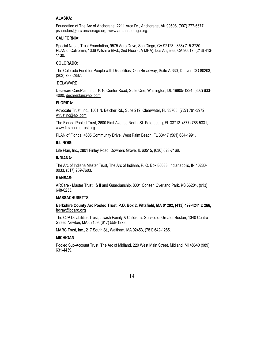#### **ALASKA:**

Foundation of The Arc of Anchorage, 2211 Arca Dr., Anchorage, AK 99508, (907) 277-6677, psaunders@arc-anchorage.org, www.arc-anchorage.org.

#### **CALIFORNIA:**

Special Needs Trust Foundation, 9575 Aero Drive, San Diego, CA 92123, (858) 715-3780. PLAN of California, 1336 Wilshire Blvd., 2nd Floor (LA MHA), Los Angeles, CA 90017, (213) 413- 1130.

#### **COLORADO:**

The Colorado Fund for People with Disabilities, One Broadway, Suite A-330, Denver, CO 80203, (303) 733-2867.

#### DELAWARE

Delaware CarePlan, Inc., 1016 Center Road, Suite One, Wilmington, DL 19805-1234, (302) 633- 4000, decareplan@aol.com.

#### **FLORIDA:**

Advocate Trust, Inc., 1501 N. Belcher Rd., Suite 219, Clearwater, FL 33765, (727) 791-3972, Atrustinc@aol.com.

The Florida Pooled Trust, 2600 First Avenue North, St. Petersburg, FL 33713 (877) 766-5331, www.firstpooledtrust.org.

PLAN of Florida, 4605 Community Drive, West Palm Beach, FL 33417 (561) 684-1991.

#### **ILLINOIS:**

Life Plan, Inc., 2801 Finley Road, Downers Grove, IL 60515, (630) 628-7168.

#### **INDIANA:**

The Arc of Indiana Master Trust, The Arc of Indiana, P. O. Box 80033, Indianapolis, IN 46280- 0033, (317) 259-7603.

#### **KANSAS:**

ARCare - Master Trust I & II and Guardianship, 8001 Conser, Overland Park, KS 66204, (913) 648-0233.

#### **MASSACHUSETTS**

#### **Berkshire County Arc Pooled Trust, P.O. Box 2, Pittsfield, MA 01202, (413) 499-4241 x 266, bgray@bcarc.org**

The CJP Disabilities Trust, Jewish Family & Childrenís Service of Greater Boston, 1340 Centre Street, Newton, MA 02159, (617) 558-1278.

MARC Trust, Inc., 217 South St., Waltham, MA 02453, (781) 642-1285.

#### **MICHIGAN**:

Pooled Sub-Account Trust, The Arc of Midland, 220 West Main Street, Midland, MI 48640 (989) 631-4439.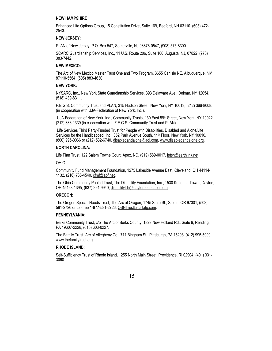#### **NEW HAMPSHIRE**

Enhanced Life Options Group, 15 Constitution Drive, Suite 169, Bedford, NH 03110, (603) 472- 2543.

#### **NEW JERSEY:**

PLAN of New Jersey, P.O. Box 547, Somerville, NJ 08876-0547, (908) 575-8300.

SCARC Guardianship Services, Inc., 11 U.S. Route 206, Suite 100, Augusta, NJ, 07822 (973) 383-7442.

#### **NEW MEXICO:**

The Arc of New Mexico Master Trust One and Two Program, 3655 Carlisle NE, Albuquerque, NM 87110-5564, (505) 883-4630.

#### **NEW YORK:**

NYSARC, Inc., New York State Guardianship Services, 393 Delaware Ave., Delmar, NY 12054, (518) 439-8311.

F.E.G.S. Community Trust and PLAN, 315 Hudson Street, New York, NY 10013, (212) 366-8008. (in cooperation with UJA-Federation of New York, Inc.).

UJA-Federation of New York, Inc., Community Trusts, 130 East 59th Street, New York, NY 10022, (212) 836-1339 (in cooperation with F.E.G.S. Community Trust and PLAN).

 Life Services Third Party-Funded Trust for People with Disabilities, Disabled and Alone/Life Services for the Handicapped, Inc., 352 Park Avenue South, 11<sup>th</sup> Floor, New York, NY 10010, (800) 995-0066 or (212) 532-6740, disabledandalone@aol.com, www.disabledandalone.org.

#### **NORTH CAROLINA:**

Life Plan Trust, 122 Salem Towne Court, Apex, NC, (919) 589-0017, lptsh@earthlink.net.

OHIO.

Community Fund Management Foundation, 1275 Lakeside Avenue East, Cleveland, OH 44114- 1132, (216) 736-4540, cfmf@apf.net.

The Ohio Community Pooled Trust, The Disability Foundation, Inc., 1530 Kettering Tower, Dayton, OH 45423-1395, (937) 224-9940, disabilityfdn@daytonfoundation.org.

#### **OREGON:**

The Oregon Special Needs Trust, The Arc of Oregon, 1745 State St., Salem, OR 97301, (503) 581-2726 or toll-free 1-877-581-2726, OSNTrust@callatg.com.

#### **PENNSYLVANIA:**

Berks Community Trust, c/o The Arc of Berks County, 1829 New Holland Rd., Suite 9, Reading, PA 19607-2228, (610) 603-0227.

The Family Trust, Arc of Allegheny Co., 711 Bingham St., Pittsburgh, PA 15203, (412) 995-5000, www.thefamilytrust.org.

#### **RHODE ISLAND:**

Self-Sufficiency Trust of Rhode Island, 1255 North Main Street, Providence, RI 02904, (401) 331- 3060.